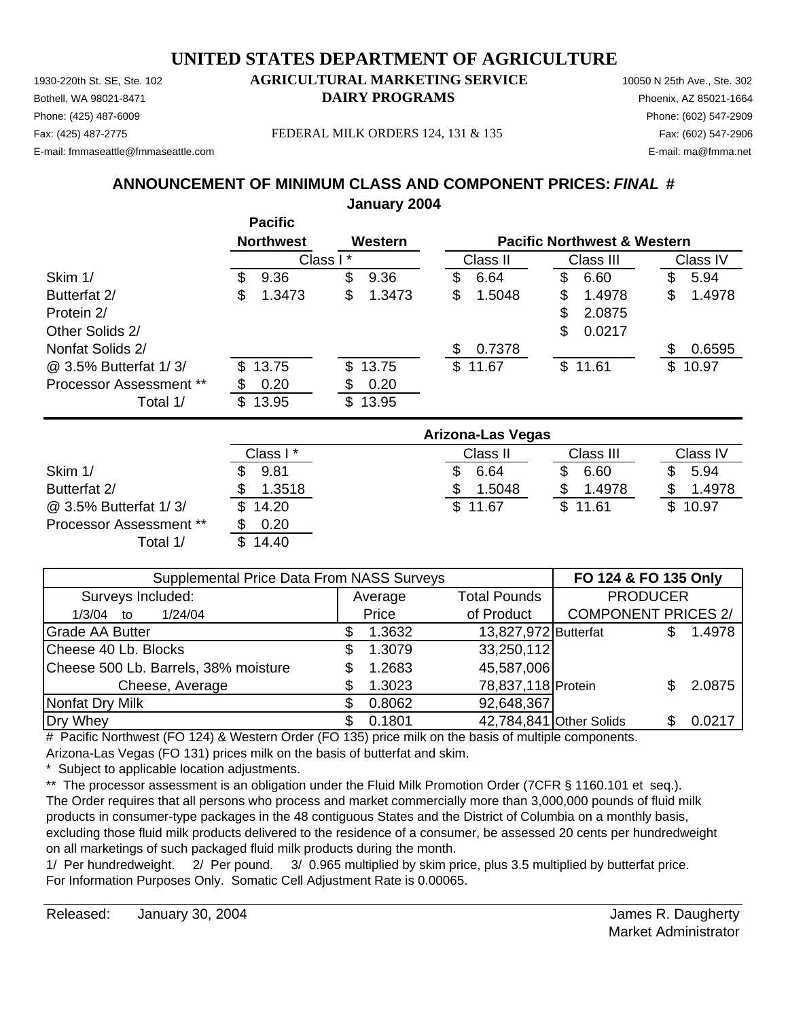Phone: (425) 487-6009 Phone: (602) 547-2909 E-mail: fmmaseattle@fmmaseattle.com E-mail: ma@fmma.net

#### 1930-220th St. SE, Ste. 102 **AGRICULTURAL MARKETING SERVICE** 10050 N 25th Ave., Ste. 302 Bothell, WA 98021-8471 **DAIRY PROGRAMS** Phoenix, AZ 85021-1664

Fax: (425) 487-2775 Fax: (602) 547-2906 FEDERAL MILK ORDERS 124, 131 & 135

#### **ANNOUNCEMENT OF MINIMUM CLASS AND COMPONENT PRICES:** *FINAL* **# January 2004**

|                                |     | <b>Pacific</b><br><b>Northwest</b> |          | Western |    |                   | <b>Pacific Northwest &amp; Western</b> |     |          |
|--------------------------------|-----|------------------------------------|----------|---------|----|-------------------|----------------------------------------|-----|----------|
|                                |     |                                    | Class I* |         |    | Class II          | Class III                              |     | Class IV |
| Skim 1/                        | S.  | 9.36                               | \$       | 9.36    | \$ | 6.64              | \$<br>6.60                             | \$  | 5.94     |
| Butterfat 2/                   | \$  | 1.3473                             | \$       | 1.3473  | \$ | 1.5048            | \$<br>1.4978                           | S   | 1.4978   |
| Protein 2/                     |     |                                    |          |         |    |                   | \$<br>2.0875                           |     |          |
| Other Solids 2/                |     |                                    |          |         |    |                   | \$<br>0.0217                           |     |          |
| Nonfat Solids 2/               |     |                                    |          |         | S  | 0.7378            |                                        | \$. | 0.6595   |
| @ 3.5% Butterfat 1/3/          | \$  | 13.75                              | S.       | 13.75   |    | \$11.67           | \$11.61                                | \$  | 10.97    |
| <b>Processor Assessment **</b> |     | 0.20                               | \$       | 0.20    |    |                   |                                        |     |          |
| Total 1/                       | \$. | 13.95                              | \$       | 13.95   |    |                   |                                        |     |          |
|                                |     |                                    |          |         |    | Automatical Anti- |                                        |     |          |

|                                | Arizona-Las Vegas |          |           |          |  |  |  |  |
|--------------------------------|-------------------|----------|-----------|----------|--|--|--|--|
|                                | Class I*          | Class II | Class III | Class IV |  |  |  |  |
| Skim 1/                        | 9.81              | 6.64     | 6.60      | 5.94     |  |  |  |  |
| Butterfat 2/                   | 1.3518            | 1.5048   | 1.4978    | 1.4978   |  |  |  |  |
| @ 3.5% Butterfat 1/3/          | \$14.20           | \$11.67  | \$11.61   | \$10.97  |  |  |  |  |
| <b>Processor Assessment **</b> | 0.20              |          |           |          |  |  |  |  |
| Total 1/                       | \$14.40           |          |           |          |  |  |  |  |

| Supplemental Price Data From NASS Surveys |                     | FO 124 & FO 135 Only    |                            |  |        |
|-------------------------------------------|---------------------|-------------------------|----------------------------|--|--------|
| Surveys Included:                         | Average             | <b>Total Pounds</b>     | <b>PRODUCER</b>            |  |        |
| 1/24/04<br>$1/3/04$ to                    | of Product<br>Price |                         | <b>COMPONENT PRICES 2/</b> |  |        |
| <b>Grade AA Butter</b>                    | 1.3632              | 13,827,972 Butterfat    |                            |  | 1.4978 |
| Cheese 40 Lb. Blocks                      | 1.3079              | 33,250,112              |                            |  |        |
| Cheese 500 Lb. Barrels, 38% moisture      | 1.2683              | 45,587,006              |                            |  |        |
| Cheese, Average                           | 1.3023              | 78,837,118 Protein      |                            |  | 2.0875 |
| Nonfat Dry Milk                           | 0.8062              | 92,648,367              |                            |  |        |
| Dry Whey                                  | 0.1801              | 42,784,841 Other Solids |                            |  | 0.0217 |

# Pacific Northwest (FO 124) & Western Order (FO 135) price milk on the basis of multiple components. Arizona-Las Vegas (FO 131) prices milk on the basis of butterfat and skim.

Subject to applicable location adjustments.

\*\* The processor assessment is an obligation under the Fluid Milk Promotion Order (7CFR § 1160.101 et seq.). The Order requires that all persons who process and market commercially more than 3,000,000 pounds of fluid milk products in consumer-type packages in the 48 contiguous States and the District of Columbia on a monthly basis, excluding those fluid milk products delivered to the residence of a consumer, be assessed 20 cents per hundredweight on all marketings of such packaged fluid milk products during the month.

1/ Per hundredweight. 2/ Per pound. 3/ 0.965 multiplied by skim price, plus 3.5 multiplied by butterfat price. For Information Purposes Only. Somatic Cell Adjustment Rate is 0.00065.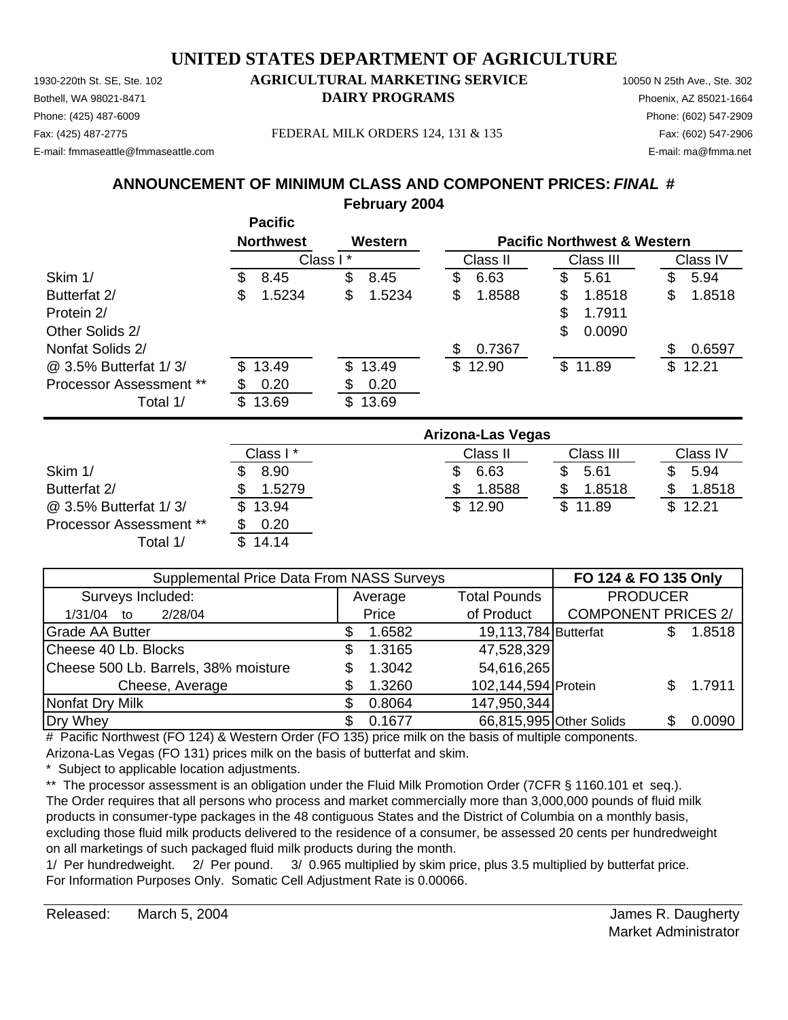1930-220th St. SE, Ste. 102 **AGRICULTURAL MARKETING SERVICE** 10050 N 25th Ave., Ste. 302 Phone: (425) 487-6009 Phone: (602) 547-2909 E-mail: fmmaseattle@fmmaseattle.com E-mail: ma@fmma.net

# Bothell, WA 98021-8471 **DAIRY PROGRAMS** Phoenix, AZ 85021-1664

Fax: (425) 487-2775 Fax: (602) 547-2906 FEDERAL MILK ORDERS 124, 131 & 135

#### **ANNOUNCEMENT OF MINIMUM CLASS AND COMPONENT PRICES:** *FINAL* **# February 2004**

|                                |     | <b>Pacific</b><br><b>Northwest</b> | Western      |    |          |    | <b>Pacific Northwest &amp; Western</b> |     |          |
|--------------------------------|-----|------------------------------------|--------------|----|----------|----|----------------------------------------|-----|----------|
|                                |     | Class I*                           |              |    | Class II |    | Class III                              |     | Class IV |
| Skim 1/                        | \$. | 8.45                               | \$<br>8.45   | S  | 6.63     | S  | 5.61                                   | S   | 5.94     |
| Butterfat 2/                   | \$  | 1.5234                             | \$<br>1.5234 | \$ | 1.8588   | \$ | 1.8518                                 | \$  | 1.8518   |
| Protein 2/                     |     |                                    |              |    |          | \$ | 1.7911                                 |     |          |
| Other Solids 2/                |     |                                    |              |    |          | \$ | 0.0090                                 |     |          |
| Nonfat Solids 2/               |     |                                    |              | S  | 0.7367   |    |                                        | \$. | 0.6597   |
| @ 3.5% Butterfat 1/3/          | SS. | 13.49                              | \$13.49      |    | \$12.90  |    | \$11.89                                | \$  | 12.21    |
| <b>Processor Assessment **</b> | S   | 0.20                               | \$<br>0.20   |    |          |    |                                        |     |          |
| Total 1/                       | \$  | 13.69                              | \$<br>13.69  |    |          |    |                                        |     |          |

|                                | <b>Arizona-Las Vegas</b> |          |           |          |  |  |  |  |  |  |
|--------------------------------|--------------------------|----------|-----------|----------|--|--|--|--|--|--|
|                                | Class I*                 | Class II | Class III | Class IV |  |  |  |  |  |  |
| Skim 1/                        | 8.90                     | 6.63     | 5.61      | 5.94     |  |  |  |  |  |  |
| Butterfat 2/                   | 1.5279                   | 1.8588   | 1.8518    | 1.8518   |  |  |  |  |  |  |
| @ 3.5% Butterfat 1/3/          | \$13.94                  | \$12.90  | \$11.89   | \$12.21  |  |  |  |  |  |  |
| <b>Processor Assessment **</b> | 0.20                     |          |           |          |  |  |  |  |  |  |
| Total 1/                       | \$14.14                  |          |           |          |  |  |  |  |  |  |

| Supplemental Price Data From NASS Surveys |       | FO 124 & FO 135 Only |                      |                            |     |        |
|-------------------------------------------|-------|----------------------|----------------------|----------------------------|-----|--------|
| Surveys Included:                         |       | Average              | <b>Total Pounds</b>  | <b>PRODUCER</b>            |     |        |
| 2/28/04<br>1/31/04<br>to                  | Price |                      | of Product           | <b>COMPONENT PRICES 2/</b> |     |        |
| <b>Grade AA Butter</b>                    |       | 1.6582               | 19,113,784 Butterfat |                            |     | 1.8518 |
| Cheese 40 Lb. Blocks                      |       | 1.3165               | 47,528,329           |                            |     |        |
| Cheese 500 Lb. Barrels, 38% moisture      |       | 1.3042               | 54,616,265           |                            |     |        |
| Cheese, Average                           |       | 1.3260               | 102,144,594 Protein  |                            |     | 1.7911 |
| Nonfat Dry Milk                           |       | 0.8064               | 147,950,344          |                            |     |        |
| Dry Whey                                  |       | 0.1677               |                      | 66,815,995 Other Solids    | SS. | 0.0090 |

# Pacific Northwest (FO 124) & Western Order (FO 135) price milk on the basis of multiple components. Arizona-Las Vegas (FO 131) prices milk on the basis of butterfat and skim.

Subject to applicable location adjustments.

\*\* The processor assessment is an obligation under the Fluid Milk Promotion Order (7CFR § 1160.101 et seq.). The Order requires that all persons who process and market commercially more than 3,000,000 pounds of fluid milk products in consumer-type packages in the 48 contiguous States and the District of Columbia on a monthly basis, excluding those fluid milk products delivered to the residence of a consumer, be assessed 20 cents per hundredweight on all marketings of such packaged fluid milk products during the month.

1/ Per hundredweight. 2/ Per pound. 3/ 0.965 multiplied by skim price, plus 3.5 multiplied by butterfat price. For Information Purposes Only. Somatic Cell Adjustment Rate is 0.00066.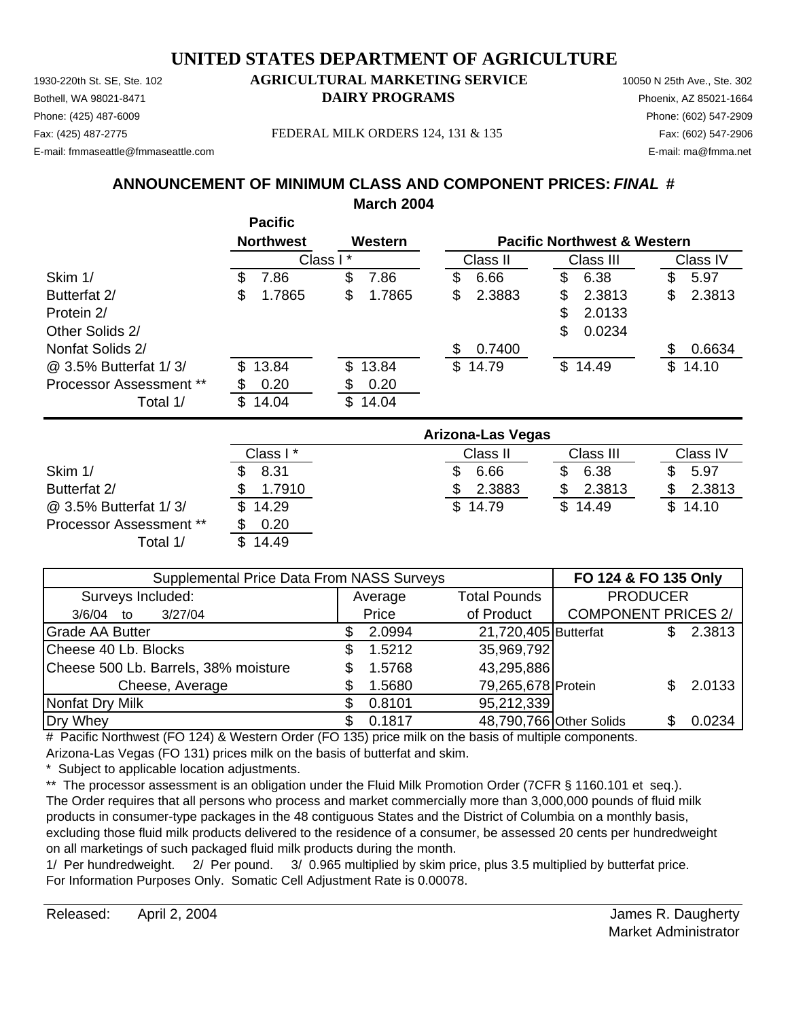Phone: (425) 487-6009 Phone: (602) 547-2909 E-mail: fmmaseattle@fmmaseattle.com E-mail: ma@fmma.net

## 1930-220th St. SE, Ste. 102 **AGRICULTURAL MARKETING SERVICE** 10050 N 25th Ave., Ste. 302 Bothell, WA 98021-8471 **DAIRY PROGRAMS** Phoenix, AZ 85021-1664

Fax: (425) 487-2775 Fax: (602) 547-2906 FEDERAL MILK ORDERS 124, 131 & 135

#### **ANNOUNCEMENT OF MINIMUM CLASS AND COMPONENT PRICES:** *FINAL* **# March 2004**

|                                |     | <b>Pacific</b>   |          |         |    |          |    |                                        |   |          |
|--------------------------------|-----|------------------|----------|---------|----|----------|----|----------------------------------------|---|----------|
|                                |     | <b>Northwest</b> |          | Western |    |          |    | <b>Pacific Northwest &amp; Western</b> |   |          |
|                                |     |                  | Class I* |         |    | Class II |    | Class III                              |   | Class IV |
| Skim 1/                        | \$  | 7.86             | \$       | 7.86    | S  | 6.66     | S  | 6.38                                   | S | 5.97     |
| Butterfat 2/                   | \$  | 1.7865           | \$       | 1.7865  | \$ | 2.3883   | \$ | 2.3813                                 | S | 2.3813   |
| Protein 2/                     |     |                  |          |         |    |          | \$ | 2.0133                                 |   |          |
| Other Solids 2/                |     |                  |          |         |    |          | \$ | 0.0234                                 |   |          |
| Nonfat Solids 2/               |     |                  |          |         | \$ | 0.7400   |    |                                        | S | 0.6634   |
| @ 3.5% Butterfat 1/3/          | \$. | 13.84            | \$       | 13.84   |    | \$14.79  |    | \$14.49                                |   | \$14.10  |
| <b>Processor Assessment **</b> |     | 0.20             |          | 0.20    |    |          |    |                                        |   |          |
| Total 1/                       | \$. | 14.04            | \$       | 14.04   |    |          |    |                                        |   |          |

|                                | <b>Arizona-Las Vegas</b> |          |           |          |  |  |  |  |  |  |
|--------------------------------|--------------------------|----------|-----------|----------|--|--|--|--|--|--|
|                                | Class I*                 | Class II | Class III | Class IV |  |  |  |  |  |  |
| Skim 1/                        | 8.31                     | 6.66     | 6.38      | 5.97     |  |  |  |  |  |  |
| Butterfat 2/                   | 1.7910                   | 2.3883   | 2.3813    | 2.3813   |  |  |  |  |  |  |
| @ 3.5% Butterfat 1/3/          | \$14.29                  | \$14.79  | \$14.49   | \$14.10  |  |  |  |  |  |  |
| <b>Processor Assessment **</b> | 0.20                     |          |           |          |  |  |  |  |  |  |
| Total 1/                       | \$14.49                  |          |           |          |  |  |  |  |  |  |

| Supplemental Price Data From NASS Surveys |  | FO 124 & FO 135 Only |                      |                            |  |        |
|-------------------------------------------|--|----------------------|----------------------|----------------------------|--|--------|
| Surveys Included:                         |  | Average              | <b>Total Pounds</b>  | <b>PRODUCER</b>            |  |        |
| 3/27/04<br>$3/6/04$ to                    |  | Price                | of Product           | <b>COMPONENT PRICES 2/</b> |  |        |
| <b>Grade AA Butter</b>                    |  | 2.0994               | 21,720,405 Butterfat |                            |  | 2.3813 |
| Cheese 40 Lb. Blocks                      |  | 1.5212               | 35,969,792           |                            |  |        |
| Cheese 500 Lb. Barrels, 38% moisture      |  | 1.5768               | 43,295,886           |                            |  |        |
| Cheese, Average                           |  | 1.5680               | 79,265,678 Protein   |                            |  | 2.0133 |
| Nonfat Dry Milk                           |  | 0.8101               | 95,212,339           |                            |  |        |
| Dry Whey                                  |  | 0.1817               |                      | 48,790,766 Other Solids    |  | 0.0234 |

# Pacific Northwest (FO 124) & Western Order (FO 135) price milk on the basis of multiple components. Arizona-Las Vegas (FO 131) prices milk on the basis of butterfat and skim.

Subject to applicable location adjustments.

\*\* The processor assessment is an obligation under the Fluid Milk Promotion Order (7CFR § 1160.101 et seq.). The Order requires that all persons who process and market commercially more than 3,000,000 pounds of fluid milk products in consumer-type packages in the 48 contiguous States and the District of Columbia on a monthly basis, excluding those fluid milk products delivered to the residence of a consumer, be assessed 20 cents per hundredweight on all marketings of such packaged fluid milk products during the month.

1/ Per hundredweight. 2/ Per pound. 3/ 0.965 multiplied by skim price, plus 3.5 multiplied by butterfat price. For Information Purposes Only. Somatic Cell Adjustment Rate is 0.00078.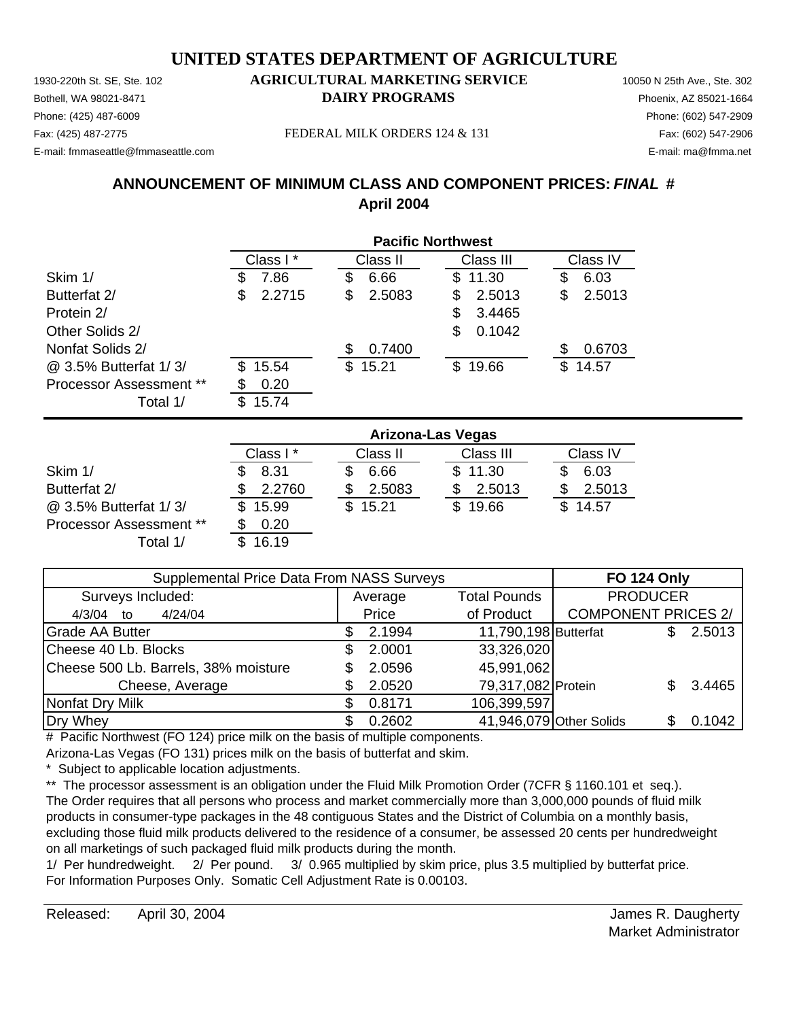Phone: (425) 487-6009 Phone: (602) 547-2909 E-mail: fmmaseattle@fmmaseattle.com E-mail: ma@fmma.net

#### 1930-220th St. SE, Ste. 102 **AGRICULTURAL MARKETING SERVICE** 10050 N 25th Ave., Ste. 302 Bothell, WA 98021-8471 **DAIRY PROGRAMS** Phoenix, AZ 85021-1664

Fax: (425) 487-2775 FEDERAL MILK ORDERS 124 & 131 Fax: (602) 547-2906

## **ANNOUNCEMENT OF MINIMUM CLASS AND COMPONENT PRICES:** *FINAL* **# April 2004**

|                                |              | <b>Pacific Northwest</b> |               |              |  |  |  |  |  |  |
|--------------------------------|--------------|--------------------------|---------------|--------------|--|--|--|--|--|--|
|                                | Class I*     | Class II                 | Class III     | Class IV     |  |  |  |  |  |  |
| Skim 1/                        | 7.86<br>\$   | 6.66<br>\$               | \$11.30       | 6.03<br>\$   |  |  |  |  |  |  |
| Butterfat 2/                   | 2.2715<br>\$ | 2.5083<br>S              | 2.5013<br>S   | 2.5013<br>S  |  |  |  |  |  |  |
| Protein 2/                     |              |                          | 3.4465<br>\$. |              |  |  |  |  |  |  |
| Other Solids 2/                |              |                          | 0.1042<br>\$  |              |  |  |  |  |  |  |
| Nonfat Solids 2/               |              | 0.7400<br>\$.            |               | 0.6703<br>S  |  |  |  |  |  |  |
| @ 3.5% Butterfat 1/3/          | 15.54<br>\$. | \$15.21                  | \$19.66       | 14.57<br>\$. |  |  |  |  |  |  |
| <b>Processor Assessment **</b> | 0.20<br>S    |                          |               |              |  |  |  |  |  |  |
| Total 1/                       | \$<br>15.74  |                          |               |              |  |  |  |  |  |  |

|                                | <b>Arizona-Las Vegas</b> |              |           |          |  |  |  |  |
|--------------------------------|--------------------------|--------------|-----------|----------|--|--|--|--|
|                                | Class I*                 | Class II     | Class III | Class IV |  |  |  |  |
| Skim 1/                        | 8.31                     | 6.66         | \$11.30   | 6.03     |  |  |  |  |
| Butterfat 2/                   | 2.2760                   | 2.5083       | 2.5013    | 2.5013   |  |  |  |  |
| @ 3.5% Butterfat 1/3/          | 15.99                    | 15.21<br>\$. | \$19.66   | \$14.57  |  |  |  |  |
| <b>Processor Assessment **</b> | 0.20                     |              |           |          |  |  |  |  |
| Total 1/                       | 16.19                    |              |           |          |  |  |  |  |

| Supplemental Price Data From NASS Surveys |         | <b>FO 124 Only</b> |                         |                            |  |        |
|-------------------------------------------|---------|--------------------|-------------------------|----------------------------|--|--------|
| Surveys Included:                         | Average |                    | <b>Total Pounds</b>     | <b>PRODUCER</b>            |  |        |
| 4/24/04<br>4/3/04<br>to                   | Price   |                    | of Product              | <b>COMPONENT PRICES 2/</b> |  |        |
| <b>Grade AA Butter</b>                    |         | 2.1994             | 11,790,198 Butterfat    |                            |  | 2.5013 |
| Cheese 40 Lb. Blocks                      |         | 2.0001             | 33,326,020              |                            |  |        |
| Cheese 500 Lb. Barrels, 38% moisture      |         | 2.0596             | 45,991,062              |                            |  |        |
| Cheese, Average                           |         | 2.0520             | 79,317,082 Protein      |                            |  | 3.4465 |
| Nonfat Dry Milk                           |         | 0.8171             | 106,399,597             |                            |  |        |
| Dry Whey                                  |         | 0.2602             | 41,946,079 Other Solids |                            |  | 0.1042 |

# Pacific Northwest (FO 124) price milk on the basis of multiple components.

Arizona-Las Vegas (FO 131) prices milk on the basis of butterfat and skim.

Subject to applicable location adjustments.

\*\* The processor assessment is an obligation under the Fluid Milk Promotion Order (7CFR § 1160.101 et seq.). The Order requires that all persons who process and market commercially more than 3,000,000 pounds of fluid milk products in consumer-type packages in the 48 contiguous States and the District of Columbia on a monthly basis, excluding those fluid milk products delivered to the residence of a consumer, be assessed 20 cents per hundredweight on all marketings of such packaged fluid milk products during the month.

1/ Per hundredweight. 2/ Per pound. 3/ 0.965 multiplied by skim price, plus 3.5 multiplied by butterfat price. For Information Purposes Only. Somatic Cell Adjustment Rate is 0.00103.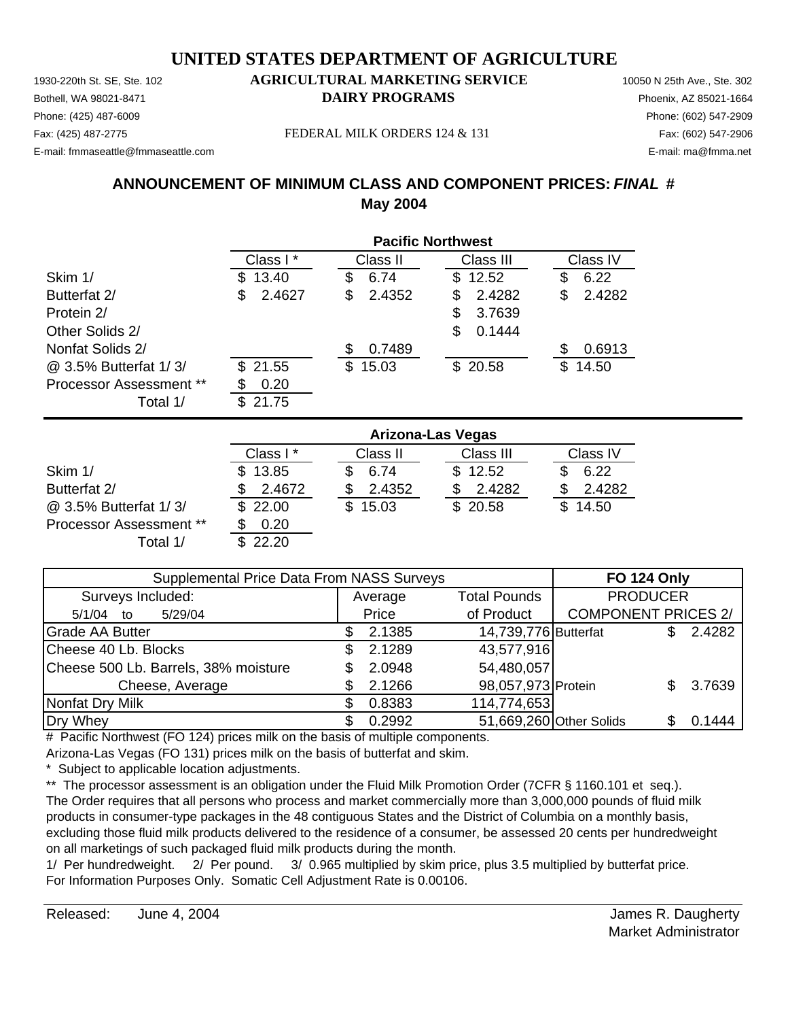Phone: (425) 487-6009 Phone: (602) 547-2909 E-mail: fmmaseattle@fmmaseattle.com E-mail: ma@fmma.net

#### 1930-220th St. SE, Ste. 102 **AGRICULTURAL MARKETING SERVICE** 10050 N 25th Ave., Ste. 302 Bothell, WA 98021-8471 **DAIRY PROGRAMS** Phoenix, AZ 85021-1664

Fax: (425) 487-2775 FEDERAL MILK ORDERS 124 & 131 Fax: (602) 547-2906

## **ANNOUNCEMENT OF MINIMUM CLASS AND COMPONENT PRICES:** *FINAL* **# May 2004**

|                                | <b>Pacific Northwest</b> |              |               |              |  |  |
|--------------------------------|--------------------------|--------------|---------------|--------------|--|--|
|                                | Class I*                 | Class II     | Class III     | Class IV     |  |  |
| Skim 1/                        | 13.40<br>S.              | 6.74<br>S    | 12.52<br>\$.  | 6.22<br>S    |  |  |
| Butterfat 2/                   | 2.4627<br>\$             | 2.4352<br>\$ | 2.4282<br>S   | 2.4282<br>\$ |  |  |
| Protein 2/                     |                          |              | 3.7639<br>S   |              |  |  |
| Other Solids 2/                |                          |              | \$.<br>0.1444 |              |  |  |
| Nonfat Solids 2/               |                          | 0.7489<br>S  |               | 0.6913<br>S  |  |  |
| @ 3.5% Butterfat 1/3/          | 21.55<br>S.              | 15.03<br>\$  | \$20.58       | 14.50<br>\$. |  |  |
| <b>Processor Assessment **</b> | 0.20                     |              |               |              |  |  |
| Total 1/                       | 21.75<br>S               |              |               |              |  |  |

|                         | <b>Arizona-Las Vegas</b> |          |           |          |  |  |
|-------------------------|--------------------------|----------|-----------|----------|--|--|
|                         | Class I *                | Class II | Class III | Class IV |  |  |
| Skim 1/                 | \$13.85                  | 6.74     | \$12.52   | 6.22     |  |  |
| Butterfat 2/            | 2.4672                   | 2.4352   | 2.4282    | 2.4282   |  |  |
| @ 3.5% Butterfat 1/3/   | \$22.00                  | 15.03    | \$20.58   | \$14.50  |  |  |
| Processor Assessment ** | 0.20                     |          |           |          |  |  |
| Total 1/                | \$22.20                  |          |           |          |  |  |

| Supplemental Price Data From NASS Surveys |  |         |                      | <b>FO 124 Only</b>         |  |        |
|-------------------------------------------|--|---------|----------------------|----------------------------|--|--------|
| Surveys Included:                         |  | Average | <b>Total Pounds</b>  | <b>PRODUCER</b>            |  |        |
| 5/29/04<br>$5/1/04$ to                    |  | Price   | of Product           | <b>COMPONENT PRICES 2/</b> |  |        |
| <b>Grade AA Butter</b>                    |  | 2.1385  | 14,739,776 Butterfat |                            |  | 2.4282 |
| Cheese 40 Lb. Blocks                      |  | 2.1289  | 43,577,916           |                            |  |        |
| Cheese 500 Lb. Barrels, 38% moisture      |  | 2.0948  | 54,480,057           |                            |  |        |
| Cheese, Average                           |  | 2.1266  | 98,057,973 Protein   |                            |  | 3.7639 |
| Nonfat Dry Milk                           |  | 0.8383  | 114,774,653          |                            |  |        |
| Dry Whey                                  |  | 0.2992  |                      | 51,669,260 Other Solids    |  | 0.1444 |

# Pacific Northwest (FO 124) prices milk on the basis of multiple components.

Arizona-Las Vegas (FO 131) prices milk on the basis of butterfat and skim.

Subject to applicable location adjustments.

\*\* The processor assessment is an obligation under the Fluid Milk Promotion Order (7CFR § 1160.101 et seq.). The Order requires that all persons who process and market commercially more than 3,000,000 pounds of fluid milk products in consumer-type packages in the 48 contiguous States and the District of Columbia on a monthly basis, excluding those fluid milk products delivered to the residence of a consumer, be assessed 20 cents per hundredweight on all marketings of such packaged fluid milk products during the month.

1/ Per hundredweight. 2/ Per pound. 3/ 0.965 multiplied by skim price, plus 3.5 multiplied by butterfat price. For Information Purposes Only. Somatic Cell Adjustment Rate is 0.00106.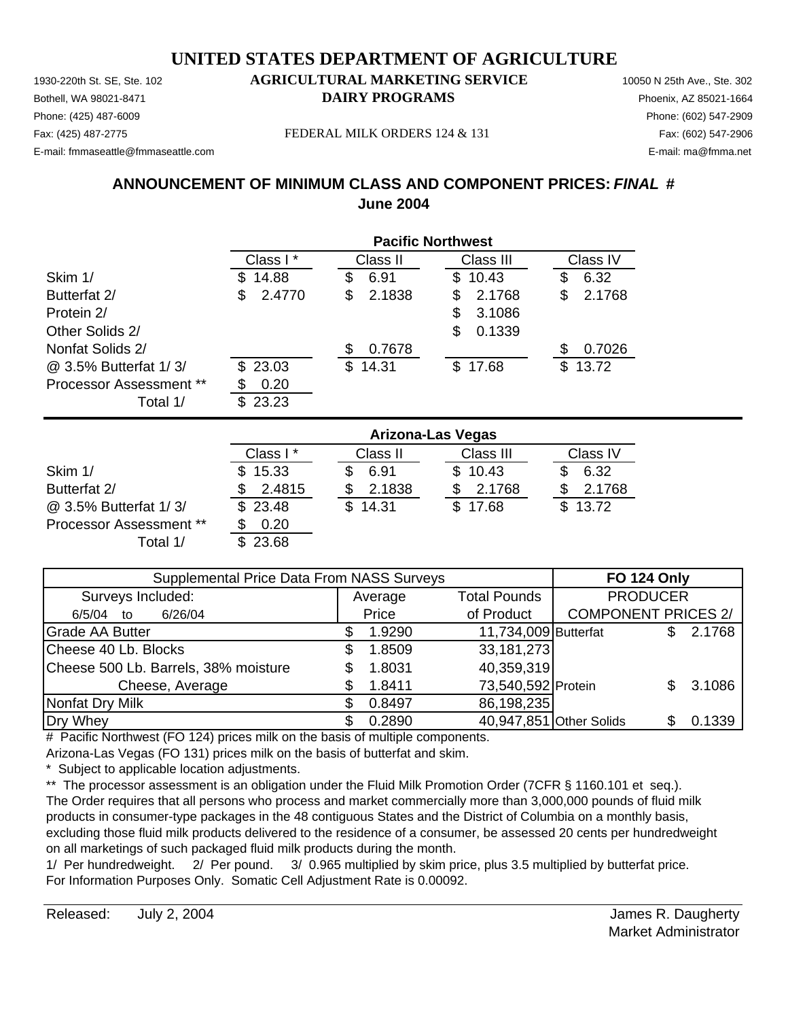Phone: (425) 487-6009 Phone: (602) 547-2909 E-mail: fmmaseattle@fmmaseattle.com E-mail: ma@fmma.net

#### 1930-220th St. SE, Ste. 102 **AGRICULTURAL MARKETING SERVICE** 10050 N 25th Ave., Ste. 302 Bothell, WA 98021-8471 **DAIRY PROGRAMS** Phoenix, AZ 85021-1664

Fax: (425) 487-2775 FEDERAL MILK ORDERS 124 & 131 Fax: (602) 547-2906

## **ANNOUNCEMENT OF MINIMUM CLASS AND COMPONENT PRICES:** *FINAL* **# June 2004**

|                                | <b>Pacific Northwest</b> |              |              |              |  |  |
|--------------------------------|--------------------------|--------------|--------------|--------------|--|--|
|                                | Class I*                 | Class II     | Class III    | Class IV     |  |  |
| Skim 1/                        | 14.88<br>S               | 6.91<br>\$   | 10.43<br>\$  | 6.32<br>\$   |  |  |
| Butterfat 2/                   | 2.4770<br>\$             | 2.1838<br>\$ | 2.1768<br>S  | 2.1768<br>\$ |  |  |
| Protein 2/                     |                          |              | 3.1086<br>S  |              |  |  |
| Other Solids 2/                |                          |              | 0.1339<br>\$ |              |  |  |
| Nonfat Solids 2/               |                          | 0.7678<br>S  |              | 0.7026<br>S  |  |  |
| @ 3.5% Butterfat 1/3/          | 23.03<br>\$.             | 14.31<br>\$. | \$17.68      | 13.72<br>\$  |  |  |
| <b>Processor Assessment **</b> | 0.20<br>S                |              |              |              |  |  |
| Total 1/                       | 23.23<br>S.              |              |              |              |  |  |

|                                | <b>Arizona-Las Vegas</b> |          |           |          |  |  |
|--------------------------------|--------------------------|----------|-----------|----------|--|--|
|                                | Class I*                 | Class II | Class III | Class IV |  |  |
| Skim 1/                        | \$15.33                  | 6.91     | \$10.43   | 6.32     |  |  |
| Butterfat 2/                   | 2.4815                   | 2.1838   | 2.1768    | 2.1768   |  |  |
| @ 3.5% Butterfat 1/3/          | \$23.48                  | \$14.31  | \$17.68   | \$13.72  |  |  |
| <b>Processor Assessment **</b> | 0.20                     |          |           |          |  |  |
| Total 1/                       | \$23.68                  |          |           |          |  |  |

| Supplemental Price Data From NASS Surveys |  |         |                         | <b>FO 124 Only</b>         |  |        |
|-------------------------------------------|--|---------|-------------------------|----------------------------|--|--------|
| Surveys Included:                         |  | Average | <b>Total Pounds</b>     | <b>PRODUCER</b>            |  |        |
| 6/26/04<br>6/5/04<br>to                   |  | Price   | of Product              | <b>COMPONENT PRICES 2/</b> |  |        |
| <b>Grade AA Butter</b>                    |  | 1.9290  | 11,734,009 Butterfat    |                            |  | 2.1768 |
| Cheese 40 Lb. Blocks                      |  | 1.8509  | 33,181,273              |                            |  |        |
| Cheese 500 Lb. Barrels, 38% moisture      |  | 1.8031  | 40,359,319              |                            |  |        |
| Cheese, Average                           |  | 1.8411  | 73,540,592 Protein      |                            |  | 3.1086 |
| Nonfat Dry Milk                           |  | 0.8497  | 86,198,235              |                            |  |        |
| Dry Whey                                  |  | 0.2890  | 40,947,851 Other Solids |                            |  | 0.1339 |

# Pacific Northwest (FO 124) prices milk on the basis of multiple components.

Arizona-Las Vegas (FO 131) prices milk on the basis of butterfat and skim.

Subject to applicable location adjustments.

\*\* The processor assessment is an obligation under the Fluid Milk Promotion Order (7CFR § 1160.101 et seq.). The Order requires that all persons who process and market commercially more than 3,000,000 pounds of fluid milk products in consumer-type packages in the 48 contiguous States and the District of Columbia on a monthly basis, excluding those fluid milk products delivered to the residence of a consumer, be assessed 20 cents per hundredweight on all marketings of such packaged fluid milk products during the month.

1/ Per hundredweight. 2/ Per pound. 3/ 0.965 multiplied by skim price, plus 3.5 multiplied by butterfat price. For Information Purposes Only. Somatic Cell Adjustment Rate is 0.00092.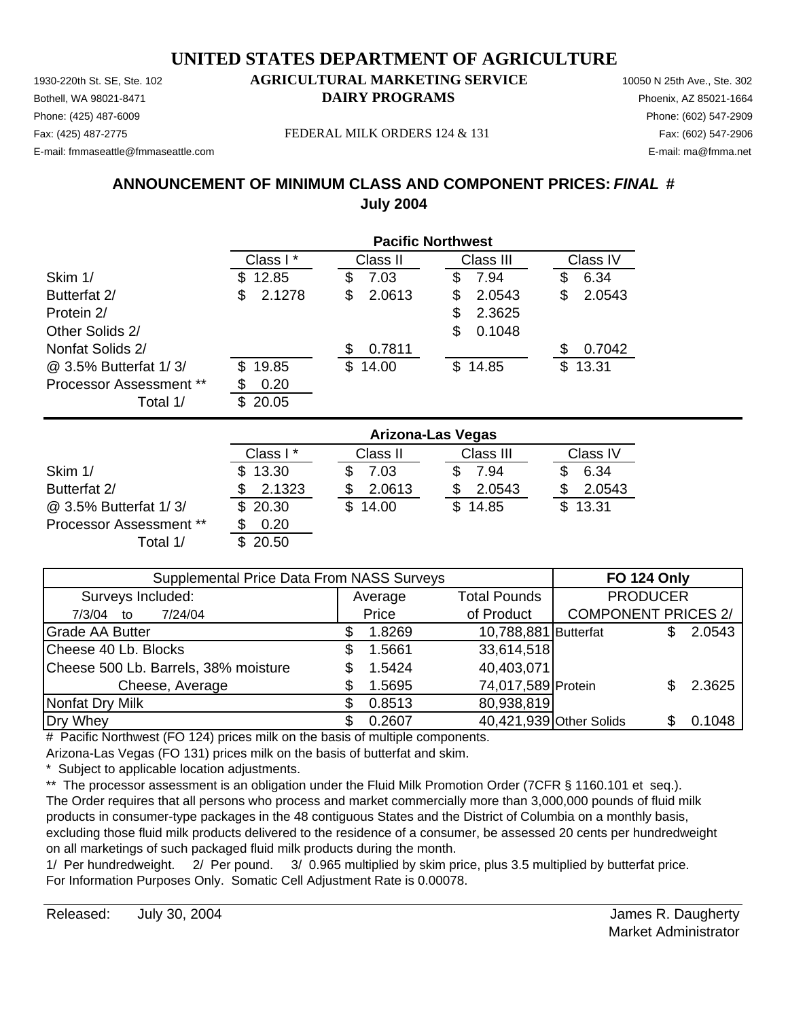Phone: (425) 487-6009 Phone: (602) 547-2909 E-mail: fmmaseattle@fmmaseattle.com E-mail: ma@fmma.net

#### 1930-220th St. SE, Ste. 102 **AGRICULTURAL MARKETING SERVICE** 10050 N 25th Ave., Ste. 302 Bothell, WA 98021-8471 **DAIRY PROGRAMS** Phoenix, AZ 85021-1664

Fax: (425) 487-2775 FEDERAL MILK ORDERS 124 & 131 Fax: (602) 547-2906

## **ANNOUNCEMENT OF MINIMUM CLASS AND COMPONENT PRICES:** *FINAL* **# July 2004**

|                                | <b>Pacific Northwest</b> |              |             |              |  |  |
|--------------------------------|--------------------------|--------------|-------------|--------------|--|--|
|                                | Class I*                 | Class II     | Class III   | Class IV     |  |  |
| Skim 1/                        | 12.85<br>S.              | 7.03<br>S    | 7.94<br>S   | 6.34<br>S    |  |  |
| Butterfat 2/                   | 2.1278<br>S              | 2.0613<br>S  | 2.0543<br>S | 2.0543<br>\$ |  |  |
| Protein 2/                     |                          |              | 2.3625<br>S |              |  |  |
| Other Solids 2/                |                          |              | 0.1048<br>S |              |  |  |
| Nonfat Solids 2/               |                          | 0.7811       |             | 0.7042<br>S  |  |  |
| @ 3.5% Butterfat 1/3/          | 19.85<br>\$.             | 14.00<br>\$. | \$14.85     | 13.31<br>\$. |  |  |
| <b>Processor Assessment **</b> | 0.20<br>S                |              |             |              |  |  |
| Total 1/                       | 20.05<br>£.              |              |             |              |  |  |

|                                | <b>Arizona-Las Vegas</b> |          |           |          |  |  |
|--------------------------------|--------------------------|----------|-----------|----------|--|--|
|                                | Class I*                 | Class II | Class III | Class IV |  |  |
| Skim 1/                        | \$13.30                  | 7.03     | 7.94      | 6.34     |  |  |
| Butterfat 2/                   | 2.1323                   | 2.0613   | 2.0543    | 2.0543   |  |  |
| @ 3.5% Butterfat 1/3/          | \$20.30                  | \$14.00  | \$14.85   | \$13.31  |  |  |
| <b>Processor Assessment **</b> | 0.20                     |          |           |          |  |  |
| Total 1/                       | 20.50                    |          |           |          |  |  |

| Supplemental Price Data From NASS Surveys |  |         |                      | <b>FO 124 Only</b>         |  |        |
|-------------------------------------------|--|---------|----------------------|----------------------------|--|--------|
| Surveys Included:                         |  | Average | <b>Total Pounds</b>  | <b>PRODUCER</b>            |  |        |
| 7/24/04<br>7/3/04<br>to                   |  | Price   | of Product           | <b>COMPONENT PRICES 2/</b> |  |        |
| <b>Grade AA Butter</b>                    |  | 1.8269  | 10,788,881 Butterfat |                            |  | 2.0543 |
| Cheese 40 Lb. Blocks                      |  | 1.5661  | 33,614,518           |                            |  |        |
| Cheese 500 Lb. Barrels, 38% moisture      |  | 1.5424  | 40,403,071           |                            |  |        |
| Cheese, Average                           |  | 1.5695  | 74,017,589 Protein   |                            |  | 2.3625 |
| Nonfat Dry Milk                           |  | 0.8513  | 80,938,819           |                            |  |        |
| Dry Whey                                  |  | 0.2607  |                      | 40,421,939 Other Solids    |  | 0.1048 |

# Pacific Northwest (FO 124) prices milk on the basis of multiple components.

Arizona-Las Vegas (FO 131) prices milk on the basis of butterfat and skim.

Subject to applicable location adjustments.

\*\* The processor assessment is an obligation under the Fluid Milk Promotion Order (7CFR § 1160.101 et seq.). The Order requires that all persons who process and market commercially more than 3,000,000 pounds of fluid milk products in consumer-type packages in the 48 contiguous States and the District of Columbia on a monthly basis, excluding those fluid milk products delivered to the residence of a consumer, be assessed 20 cents per hundredweight on all marketings of such packaged fluid milk products during the month.

1/ Per hundredweight. 2/ Per pound. 3/ 0.965 multiplied by skim price, plus 3.5 multiplied by butterfat price. For Information Purposes Only. Somatic Cell Adjustment Rate is 0.00078.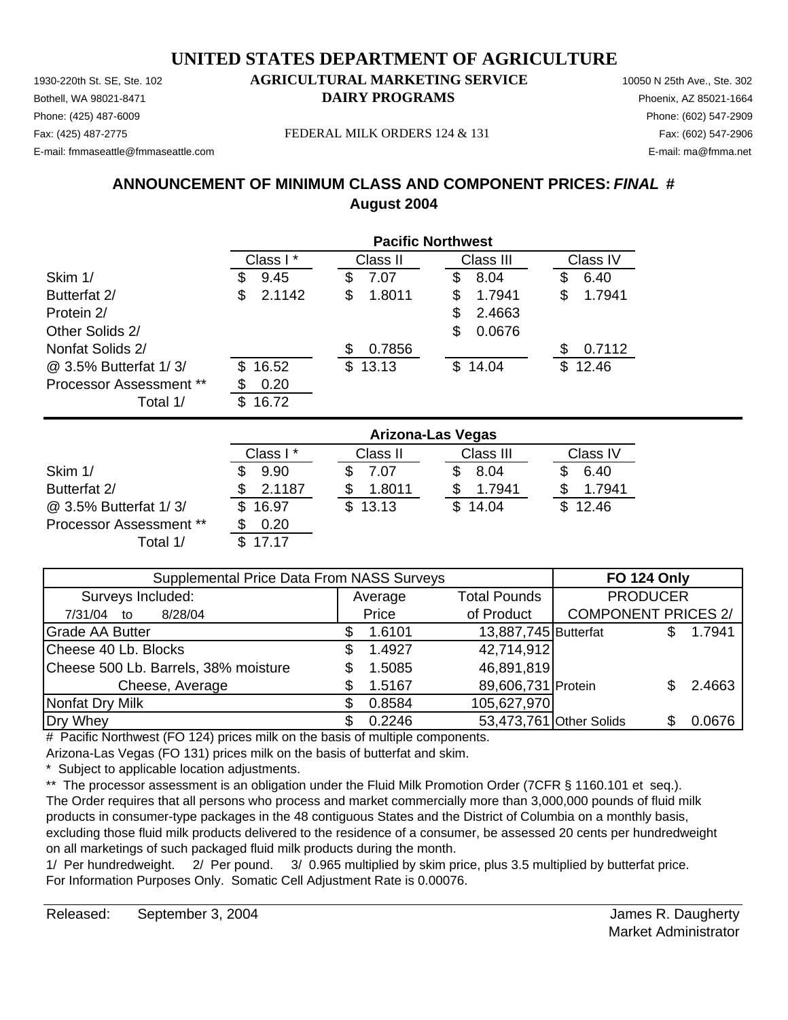Phone: (425) 487-6009 Phone: (602) 547-2909 E-mail: fmmaseattle@fmmaseattle.com E-mail: ma@fmma.net

## 1930-220th St. SE, Ste. 102 **AGRICULTURAL MARKETING SERVICE** 10050 N 25th Ave., Ste. 302 Bothell, WA 98021-8471 **DAIRY PROGRAMS** Phoenix, AZ 85021-1664

Fax: (425) 487-2775 FEDERAL MILK ORDERS 124 & 131 Fax: (602) 547-2906

## **ANNOUNCEMENT OF MINIMUM CLASS AND COMPONENT PRICES:** *FINAL* **# August 2004**

|                                | <b>Pacific Northwest</b> |                             |              |  |  |
|--------------------------------|--------------------------|-----------------------------|--------------|--|--|
|                                | Class I*                 | Class III<br>Class II       | Class IV     |  |  |
| Skim 1/                        | 9.45<br>J                | 7.07<br>8.04<br>S<br>S      | 6.40<br>S    |  |  |
| Butterfat 2/                   | 2.1142<br>\$             | 1.7941<br>1.8011<br>\$<br>S | 1.7941<br>\$ |  |  |
| Protein 2/                     |                          | 2.4663<br>S                 |              |  |  |
| Other Solids 2/                |                          | 0.0676<br>S                 |              |  |  |
| Nonfat Solids 2/               |                          | 0.7856<br>S                 | 0.7112<br>S  |  |  |
| @ 3.5% Butterfat 1/3/          | 16.52<br>S.              | \$13.13<br>\$14.04          | 12.46<br>\$. |  |  |
| <b>Processor Assessment **</b> | 0.20                     |                             |              |  |  |
| Total 1/                       | 16.72<br>S               |                             |              |  |  |

|                                | <b>Arizona-Las Vegas</b> |          |           |          |  |  |
|--------------------------------|--------------------------|----------|-----------|----------|--|--|
|                                | Class I*                 | Class II | Class III | Class IV |  |  |
| Skim 1/                        | 9.90                     | 7.07     | 8.04      | 6.40     |  |  |
| Butterfat 2/                   | 2.1187                   | 1.8011   | 1.7941    | 1.7941   |  |  |
| @ 3.5% Butterfat 1/3/          | \$16.97                  | \$13.13  | \$14.04   | \$12.46  |  |  |
| <b>Processor Assessment **</b> | 0.20                     |          |           |          |  |  |
| Total 1/                       | 17 17                    |          |           |          |  |  |

| Supplemental Price Data From NASS Surveys |  |         |                      | <b>FO 124 Only</b>         |        |
|-------------------------------------------|--|---------|----------------------|----------------------------|--------|
| Surveys Included:                         |  | Average | <b>Total Pounds</b>  | <b>PRODUCER</b>            |        |
| 8/28/04<br>7/31/04 to                     |  | Price   | of Product           | <b>COMPONENT PRICES 2/</b> |        |
| <b>Grade AA Butter</b>                    |  | 1.6101  | 13,887,745 Butterfat |                            | 1.7941 |
| Cheese 40 Lb. Blocks                      |  | 1.4927  | 42,714,912           |                            |        |
| Cheese 500 Lb. Barrels, 38% moisture      |  | 1.5085  | 46,891,819           |                            |        |
| Cheese, Average                           |  | 1.5167  | 89,606,731 Protein   |                            | 2.4663 |
| Nonfat Dry Milk                           |  | 0.8584  | 105,627,970          |                            |        |
| Dry Whey                                  |  | 0.2246  |                      | 53,473,761 Other Solids    | 0.0676 |

# Pacific Northwest (FO 124) prices milk on the basis of multiple components.

Arizona-Las Vegas (FO 131) prices milk on the basis of butterfat and skim.

Subject to applicable location adjustments.

\*\* The processor assessment is an obligation under the Fluid Milk Promotion Order (7CFR § 1160.101 et seq.). The Order requires that all persons who process and market commercially more than 3,000,000 pounds of fluid milk products in consumer-type packages in the 48 contiguous States and the District of Columbia on a monthly basis, excluding those fluid milk products delivered to the residence of a consumer, be assessed 20 cents per hundredweight on all marketings of such packaged fluid milk products during the month.

1/ Per hundredweight. 2/ Per pound. 3/ 0.965 multiplied by skim price, plus 3.5 multiplied by butterfat price. For Information Purposes Only. Somatic Cell Adjustment Rate is 0.00076.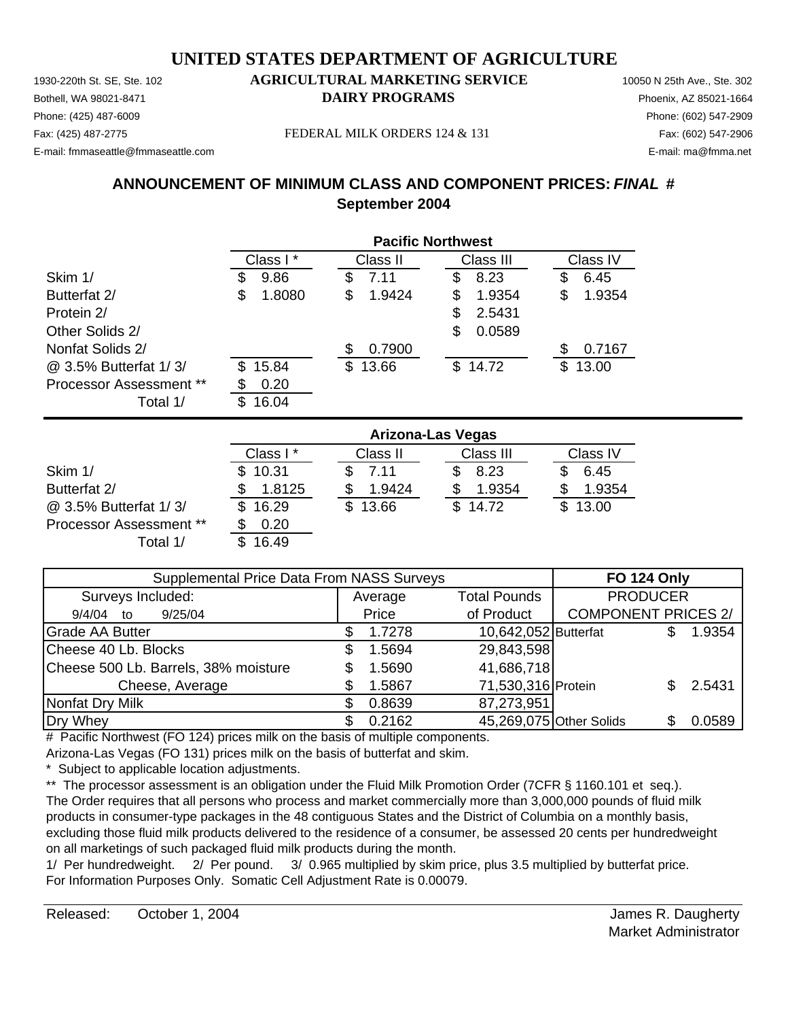1930-220th St. SE, Ste. 102 **AGRICULTURAL MARKETING SERVICE** 10050 N 25th Ave., Ste. 302 Phone: (425) 487-6009 Phone: (602) 547-2909 E-mail: fmmaseattle@fmmaseattle.com E-mail: ma@fmma.net

# Bothell, WA 98021-8471 **DAIRY PROGRAMS** Phoenix, AZ 85021-1664

Fax: (425) 487-2775 Fax: (602) 547-2906 FEDERAL MILK ORDERS 124 & 131

## **ANNOUNCEMENT OF MINIMUM CLASS AND COMPONENT PRICES:** *FINAL* **# September 2004**

|                         | <b>Pacific Northwest</b> |              |             |              |  |
|-------------------------|--------------------------|--------------|-------------|--------------|--|
|                         | Class I*                 | Class II     | Class III   | Class IV     |  |
| Skim 1/                 | 9.86<br>\$               | 7.11<br>\$   | 8.23<br>\$  | 6.45<br>\$   |  |
| Butterfat 2/            | \$<br>1.8080             | \$<br>1.9424 | 1.9354<br>S | 1.9354<br>\$ |  |
| Protein 2/              |                          |              | 2.5431<br>S |              |  |
| Other Solids 2/         |                          |              | 0.0589<br>S |              |  |
| Nonfat Solids 2/        |                          | 0.7900<br>S  |             | 0.7167<br>S  |  |
| @ 3.5% Butterfat 1/3/   | 15.84<br>\$.             | \$13.66      | \$14.72     | \$.<br>13.00 |  |
| Processor Assessment ** | 0.20                     |              |             |              |  |
| Total 1/                | 16.04<br>S.              |              |             |              |  |

|                                | <b>Arizona-Las Vegas</b> |          |           |              |  |  |
|--------------------------------|--------------------------|----------|-----------|--------------|--|--|
|                                | Class I*                 | Class II | Class III | Class IV     |  |  |
| Skim 1/                        | \$10.31                  | 7.11     | 8.23      | 6.45         |  |  |
| Butterfat 2/                   | 1.8125                   | 1.9424   | 1.9354    | 1.9354       |  |  |
| @ 3.5% Butterfat 1/3/          | 16.29<br>S.              | 13.66    | \$14.72   | 13.00<br>SS. |  |  |
| <b>Processor Assessment **</b> | 0.20                     |          |           |              |  |  |
| Total 1/                       | 16.49                    |          |           |              |  |  |

| Supplemental Price Data From NASS Surveys | <b>FO 124 Only</b> |                         |                            |        |
|-------------------------------------------|--------------------|-------------------------|----------------------------|--------|
| Surveys Included:                         | Average            | <b>Total Pounds</b>     | <b>PRODUCER</b>            |        |
| 9/25/04<br>9/4/04 to                      | Price              | of Product              | <b>COMPONENT PRICES 2/</b> |        |
| <b>Grade AA Butter</b>                    | 1.7278             | 10,642,052 Butterfat    |                            | 1.9354 |
| Cheese 40 Lb. Blocks                      | 1.5694             | 29,843,598              |                            |        |
| Cheese 500 Lb. Barrels, 38% moisture      | 1.5690             | 41,686,718              |                            |        |
| Cheese, Average                           | 1.5867             | 71,530,316 Protein      |                            | 2.5431 |
| Nonfat Dry Milk                           | 0.8639             | 87,273,951              |                            |        |
| Dry Whey                                  | 0.2162             | 45,269,075 Other Solids |                            | 0.0589 |

# Pacific Northwest (FO 124) prices milk on the basis of multiple components.

Arizona-Las Vegas (FO 131) prices milk on the basis of butterfat and skim.

Subject to applicable location adjustments.

\*\* The processor assessment is an obligation under the Fluid Milk Promotion Order (7CFR § 1160.101 et seq.). The Order requires that all persons who process and market commercially more than 3,000,000 pounds of fluid milk products in consumer-type packages in the 48 contiguous States and the District of Columbia on a monthly basis, excluding those fluid milk products delivered to the residence of a consumer, be assessed 20 cents per hundredweight on all marketings of such packaged fluid milk products during the month.

1/ Per hundredweight. 2/ Per pound. 3/ 0.965 multiplied by skim price, plus 3.5 multiplied by butterfat price. For Information Purposes Only. Somatic Cell Adjustment Rate is 0.00079.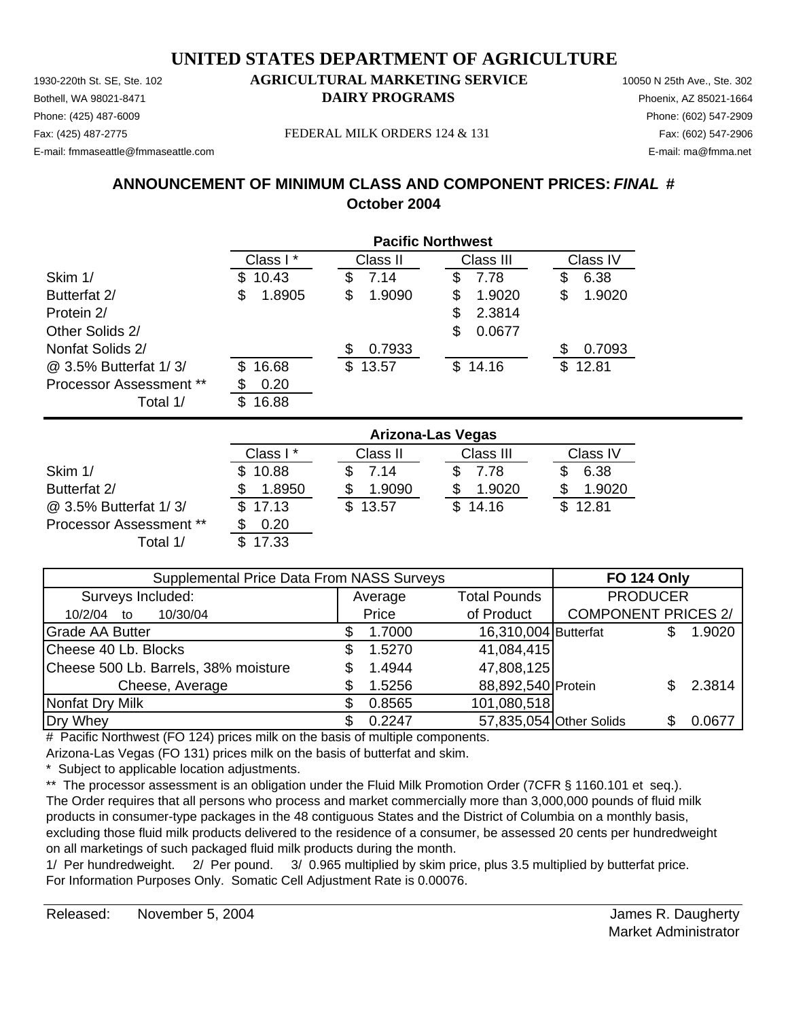Phone: (425) 487-6009 Phone: (602) 547-2909 E-mail: fmmaseattle@fmmaseattle.com E-mail: ma@fmma.net

## 1930-220th St. SE, Ste. 102 **AGRICULTURAL MARKETING SERVICE** 10050 N 25th Ave., Ste. 302 Bothell, WA 98021-8471 **DAIRY PROGRAMS** Phoenix, AZ 85021-1664

Fax: (425) 487-2775 FEDERAL MILK ORDERS 124 & 131 Fax: (602) 547-2906

## **ANNOUNCEMENT OF MINIMUM CLASS AND COMPONENT PRICES:** *FINAL* **# October 2004**

|                                | <b>Pacific Northwest</b> |              |             |              |  |  |
|--------------------------------|--------------------------|--------------|-------------|--------------|--|--|
|                                | Class I*                 | Class II     | Class III   | Class IV     |  |  |
| Skim 1/                        | 10.43<br>S               | 7.14<br>\$   | 7.78<br>S   | 6.38<br>S    |  |  |
| Butterfat 2/                   | S<br>1.8905              | 1.9090<br>\$ | 1.9020<br>S | 1.9020<br>\$ |  |  |
| Protein 2/                     |                          |              | 2.3814<br>S |              |  |  |
| Other Solids 2/                |                          |              | 0.0677<br>S |              |  |  |
| Nonfat Solids 2/               |                          | 0.7933       |             | 0.7093<br>S  |  |  |
| @ 3.5% Butterfat 1/3/          | 16.68<br>\$.             | \$13.57      | \$14.16     | 12.81<br>\$. |  |  |
| <b>Processor Assessment **</b> | 0.20<br>S                |              |             |              |  |  |
| Total 1/                       | 16.88<br>\$              |              |             |              |  |  |

|                                | <b>Arizona-Las Vegas</b> |          |           |          |  |
|--------------------------------|--------------------------|----------|-----------|----------|--|
|                                | Class I*                 | Class II | Class III | Class IV |  |
| Skim 1/                        | \$10.88                  | 7.14     | 7.78      | 6.38     |  |
| Butterfat 2/                   | 1.8950                   | 1.9090   | 1.9020    | 1.9020   |  |
| @ 3.5% Butterfat 1/3/          | \$17.13                  | 13.57    | \$14.16   | \$12.81  |  |
| <b>Processor Assessment **</b> | 0.20                     |          |           |          |  |
| Total 1/                       | 17.33                    |          |           |          |  |

| Supplemental Price Data From NASS Surveys | <b>FO 124 Only</b> |                      |                            |        |
|-------------------------------------------|--------------------|----------------------|----------------------------|--------|
| Surveys Included:                         | Average            | <b>Total Pounds</b>  | <b>PRODUCER</b>            |        |
| 10/30/04<br>10/2/04<br>to                 | Price              | of Product           | <b>COMPONENT PRICES 2/</b> |        |
| <b>Grade AA Butter</b>                    | 1.7000             | 16,310,004 Butterfat |                            | 1.9020 |
| Cheese 40 Lb. Blocks                      | 1.5270             | 41,084,415           |                            |        |
| Cheese 500 Lb. Barrels, 38% moisture      | 1.4944             | 47,808,125           |                            |        |
| Cheese, Average                           | 1.5256             | 88,892,540 Protein   |                            | 2.3814 |
| Nonfat Dry Milk                           | 0.8565             | 101,080,518          |                            |        |
| Dry Whey                                  | 0.2247             |                      | 57,835,054 Other Solids    | 0.0677 |

# Pacific Northwest (FO 124) prices milk on the basis of multiple components.

Arizona-Las Vegas (FO 131) prices milk on the basis of butterfat and skim.

Subject to applicable location adjustments.

\*\* The processor assessment is an obligation under the Fluid Milk Promotion Order (7CFR § 1160.101 et seq.). The Order requires that all persons who process and market commercially more than 3,000,000 pounds of fluid milk products in consumer-type packages in the 48 contiguous States and the District of Columbia on a monthly basis, excluding those fluid milk products delivered to the residence of a consumer, be assessed 20 cents per hundredweight on all marketings of such packaged fluid milk products during the month.

1/ Per hundredweight. 2/ Per pound. 3/ 0.965 multiplied by skim price, plus 3.5 multiplied by butterfat price. For Information Purposes Only. Somatic Cell Adjustment Rate is 0.00076.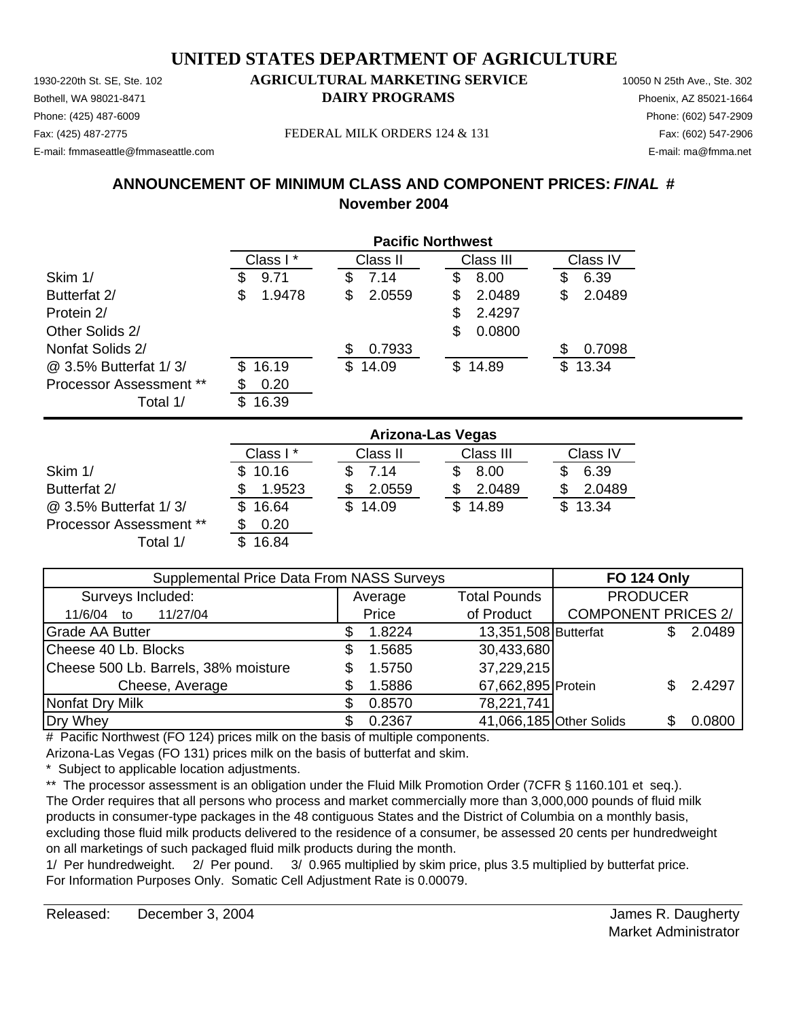Phone: (425) 487-6009 Phone: (602) 547-2909 E-mail: fmmaseattle@fmmaseattle.com E-mail: ma@fmma.net

### 1930-220th St. SE, Ste. 102 **AGRICULTURAL MARKETING SERVICE** 10050 N 25th Ave., Ste. 302 Bothell, WA 98021-8471 **DAIRY PROGRAMS** Phoenix, AZ 85021-1664

Fax: (425) 487-2775 Fax: (602) 547-2906 FEDERAL MILK ORDERS 124 & 131

## **ANNOUNCEMENT OF MINIMUM CLASS AND COMPONENT PRICES:** *FINAL* **# November 2004**

|                                | <b>Pacific Northwest</b> |              |             |              |  |
|--------------------------------|--------------------------|--------------|-------------|--------------|--|
|                                | Class I*                 | Class II     | Class III   | Class IV     |  |
| Skim 1/                        | 9.71<br>æ.               | 7.14<br>\$   | 8.00<br>S   | 6.39<br>S    |  |
| Butterfat 2/                   | \$<br>1.9478             | 2.0559<br>S  | 2.0489<br>S | 2.0489<br>\$ |  |
| Protein 2/                     |                          |              | 2.4297<br>S |              |  |
| Other Solids 2/                |                          |              | 0.0800<br>S |              |  |
| Nonfat Solids 2/               |                          | 0.7933       |             | 0.7098<br>S  |  |
| @ 3.5% Butterfat 1/3/          | 16.19<br>\$.             | 14.09<br>\$. | \$14.89     | \$.<br>13.34 |  |
| <b>Processor Assessment **</b> | 0.20<br>S                |              |             |              |  |
| Total 1/                       | 16.39<br>\$              |              |             |              |  |

|                                | <b>Arizona-Las Vegas</b> |             |           |          |  |  |
|--------------------------------|--------------------------|-------------|-----------|----------|--|--|
|                                | Class I*                 | Class II    | Class III | Class IV |  |  |
| Skim 1/                        | \$10.16                  | 7.14        | 8.00      | 6.39     |  |  |
| Butterfat 2/                   | 1.9523                   | 2.0559      | 2.0489    | 2.0489   |  |  |
| @ 3.5% Butterfat 1/3/          | 16.64                    | 14.09<br>£. | \$14.89   | \$13.34  |  |  |
| <b>Processor Assessment **</b> | 0.20                     |             |           |          |  |  |
| Total 1/                       | 16.84                    |             |           |          |  |  |

| Supplemental Price Data From NASS Surveys | <b>FO 124 Only</b> |                         |                            |        |
|-------------------------------------------|--------------------|-------------------------|----------------------------|--------|
| Surveys Included:                         | Average            | <b>Total Pounds</b>     | <b>PRODUCER</b>            |        |
| 11/27/04<br>11/6/04 to                    | Price              | of Product              | <b>COMPONENT PRICES 2/</b> |        |
| <b>Grade AA Butter</b>                    | 1.8224             | 13,351,508 Butterfat    |                            | 2.0489 |
| Cheese 40 Lb. Blocks                      | 1.5685             | 30,433,680              |                            |        |
| Cheese 500 Lb. Barrels, 38% moisture      | 1.5750             | 37,229,215              |                            |        |
| Cheese, Average                           | 1.5886             | 67,662,895 Protein      |                            | 2.4297 |
| Nonfat Dry Milk                           | 0.8570             | 78,221,741              |                            |        |
| Dry Whey                                  | 0.2367             | 41,066,185 Other Solids |                            | 0.0800 |

# Pacific Northwest (FO 124) prices milk on the basis of multiple components.

Arizona-Las Vegas (FO 131) prices milk on the basis of butterfat and skim.

Subject to applicable location adjustments.

\*\* The processor assessment is an obligation under the Fluid Milk Promotion Order (7CFR § 1160.101 et seq.). The Order requires that all persons who process and market commercially more than 3,000,000 pounds of fluid milk products in consumer-type packages in the 48 contiguous States and the District of Columbia on a monthly basis, excluding those fluid milk products delivered to the residence of a consumer, be assessed 20 cents per hundredweight on all marketings of such packaged fluid milk products during the month.

1/ Per hundredweight. 2/ Per pound. 3/ 0.965 multiplied by skim price, plus 3.5 multiplied by butterfat price. For Information Purposes Only. Somatic Cell Adjustment Rate is 0.00079.